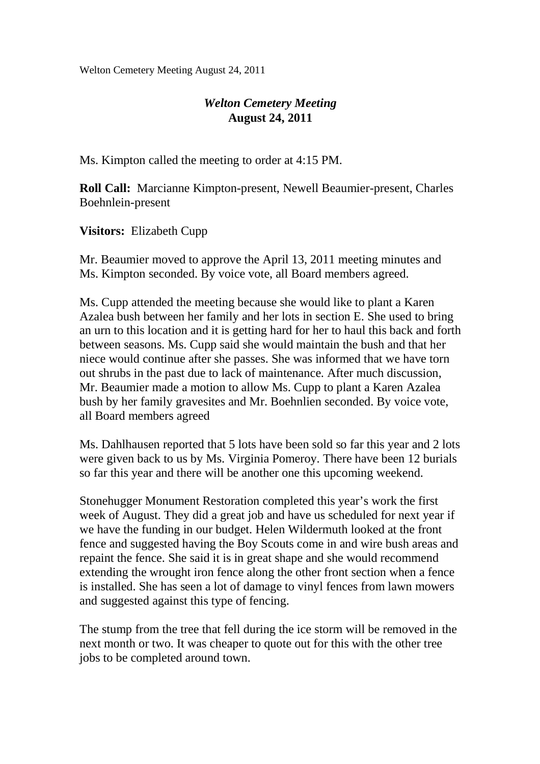Welton Cemetery Meeting August 24, 2011

## *Welton Cemetery Meeting*  **August 24, 2011**

Ms. Kimpton called the meeting to order at 4:15 PM.

**Roll Call:** Marcianne Kimpton-present, Newell Beaumier-present, Charles Boehnlein-present

**Visitors:** Elizabeth Cupp

Mr. Beaumier moved to approve the April 13, 2011 meeting minutes and Ms. Kimpton seconded. By voice vote, all Board members agreed.

Ms. Cupp attended the meeting because she would like to plant a Karen Azalea bush between her family and her lots in section E. She used to bring an urn to this location and it is getting hard for her to haul this back and forth between seasons. Ms. Cupp said she would maintain the bush and that her niece would continue after she passes. She was informed that we have torn out shrubs in the past due to lack of maintenance. After much discussion, Mr. Beaumier made a motion to allow Ms. Cupp to plant a Karen Azalea bush by her family gravesites and Mr. Boehnlien seconded. By voice vote, all Board members agreed

Ms. Dahlhausen reported that 5 lots have been sold so far this year and 2 lots were given back to us by Ms. Virginia Pomeroy. There have been 12 burials so far this year and there will be another one this upcoming weekend.

Stonehugger Monument Restoration completed this year's work the first week of August. They did a great job and have us scheduled for next year if we have the funding in our budget. Helen Wildermuth looked at the front fence and suggested having the Boy Scouts come in and wire bush areas and repaint the fence. She said it is in great shape and she would recommend extending the wrought iron fence along the other front section when a fence is installed. She has seen a lot of damage to vinyl fences from lawn mowers and suggested against this type of fencing.

The stump from the tree that fell during the ice storm will be removed in the next month or two. It was cheaper to quote out for this with the other tree jobs to be completed around town.